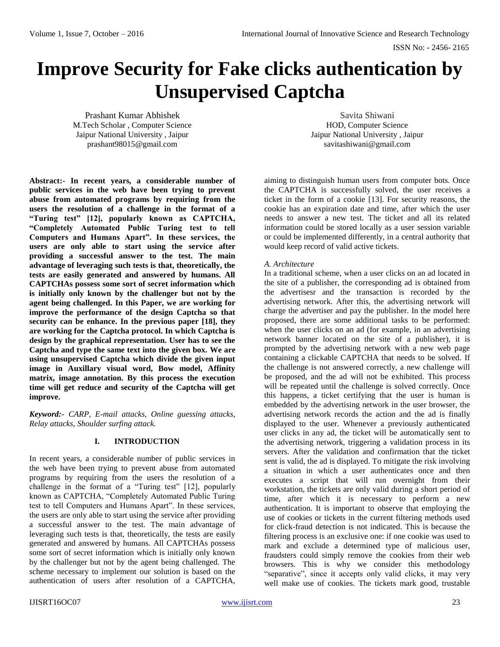# **Improve Security for Fake clicks authentication by Unsupervised Captcha**

Prashant Kumar Abhishek M.Tech Scholar , Computer Science Jaipur National University , Jaipur prashant98015@gmail.com

Savita Shiwani HOD, Computer Science Jaipur National University , Jaipur savitashiwani@gmail.com

**Abstract:- In recent years, a considerable number of public services in the web have been trying to prevent abuse from automated programs by requiring from the users the resolution of a challenge in the format of a "Turing test" [12], popularly known as CAPTCHA, "Completely Automated Public Turing test to tell Computers and Humans Apart". In these services, the users are only able to start using the service after providing a successful answer to the test. The main advantage of leveraging such tests is that, theoretically, the tests are easily generated and answered by humans. All CAPTCHAs possess some sort of secret information which is initially only known by the challenger but not by the agent being challenged. In this Paper, we are working for improve the performance of the design Captcha so that security can be enhance. In the previous paper [18], they are working for the Captcha protocol. In which Captcha is design by the graphical representation. User has to see the Captcha and type the same text into the given box. We are using unsupervised Captcha which divide the given input image in Auxillary visual word, Bow model, Affinity matrix, image annotation. By this process the execution time will get reduce and security of the Captcha will get improve.** 

*Keyword:- CARP, E-mail attacks, Online guessing attacks, Relay attacks, Shoulder surfing attack.*

### **I. INTRODUCTION**

In recent years, a considerable number of public services in the web have been trying to prevent abuse from automated programs by requiring from the users the resolution of a challenge in the format of a "Turing test" [12], popularly known as CAPTCHA, "Completely Automated Public Turing test to tell Computers and Humans Apart". In these services, the users are only able to start using the service after providing a successful answer to the test. The main advantage of leveraging such tests is that, theoretically, the tests are easily generated and answered by humans. All CAPTCHAs possess some sort of secret information which is initially only known by the challenger but not by the agent being challenged. The scheme necessary to implement our solution is based on the authentication of users after resolution of a CAPTCHA,

aiming to distinguish human users from computer bots. Once the CAPTCHA is successfully solved, the user receives a ticket in the form of a cookie [13]. For security reasons, the cookie has an expiration date and time, after which the user needs to answer a new test. The ticket and all its related information could be stored locally as a user session variable or could be implemented differently, in a central authority that would keep record of valid active tickets.

#### *A. Architecture*

In a traditional scheme, when a user clicks on an ad located in the site of a publisher, the corresponding ad is obtained from the advertisesr and the transaction is recorded by the advertising network. After this, the advertising network will charge the advertiser and pay the publisher. In the model here proposed, there are some additional tasks to be performed: when the user clicks on an ad (for example, in an advertising network banner located on the site of a publisher), it is prompted by the advertising network with a new web page containing a clickable CAPTCHA that needs to be solved. If the challenge is not answered correctly, a new challenge will be proposed, and the ad will not be exhibited. This process will be repeated until the challenge is solved correctly. Once this happens, a ticket certifying that the user is human is embedded by the advertising network in the user browser, the advertising network records the action and the ad is finally displayed to the user. Whenever a previously authenticated user clicks in any ad, the ticket will be automatically sent to the advertising network, triggering a validation process in its servers. After the validation and confirmation that the ticket sent is valid, the ad is displayed. To mitigate the risk involving a situation in which a user authenticates once and then executes a script that will run overnight from their workstation, the tickets are only valid during a short period of time, after which it is necessary to perform a new authentication. It is important to observe that employing the use of cookies or tickets in the current filtering methods used for click-fraud detection is not indicated. This is because the filtering process is an exclusive one: if one cookie was used to mark and exclude a determined type of malicious user, fraudsters could simply remove the cookies from their web browsers. This is why we consider this methodology "separative", since it accepts only valid clicks, it may very well make use of cookies. The tickets mark good, trustable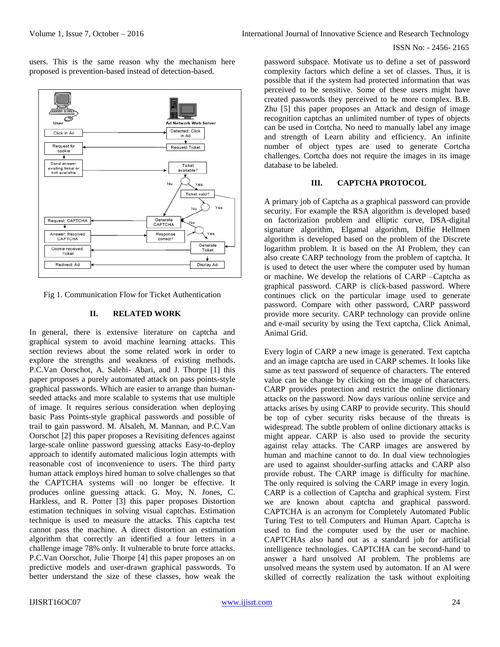users. This is the same reason why the mechanism here proposed is prevention-based instead of detection-based.



Fig 1. Communication Flow for Ticket Authentication

#### **II. RELATED WORK**

In general, there is extensive literature on captcha and graphical system to avoid machine learning attacks. This section reviews about the some related work in order to explore the strengths and weakness of existing methods. P.C.Van Oorschot, A. Salehi- Abari, and J. Thorpe [1] this paper proposes a purely automated attack on pass points-style graphical passwords. Which are easier to arrange than humanseeded attacks and more scalable to systems that use multiple of image. It requires serious consideration when deploying basic Pass Points-style graphical passwords and possible of trail to gain password. M. Alsaleh, M. Mannan, and P.C.Van Oorschot [2] this paper proposes a Revisiting defences against large-scale online password guessing attacks Easy-to-deploy approach to identify automated malicious login attempts with reasonable cost of inconvenience to users. The third party human attack employs hired human to solve challenges so that the CAPTCHA systems will no longer be effective. It produces online guessing attack. G. Moy, N. Jones, C. Harkless, and R. Potter [3] this paper proposes Distortion estimation techniques in solving visual captchas. Estimation technique is used to measure the attacks. This captcha test cannot pass the machine. A direct distortion an estimation algorithm that correctly an identified a four letters in a challenge image 78% only. It vulnerable to brute force attacks. P.C.Van Oorschot, Julie Thorpe [4] this paper proposes an on predictive models and user-drawn graphical passwords. To better understand the size of these classes, how weak the

password subspace. Motivate us to define a set of password complexity factors which define a set of classes. Thus, it is possible that if the system had protected information that was perceived to be sensitive. Some of these users might have created passwords they perceived to be more complex. B.B. Zhu [5] this paper proposes an Attack and design of image recognition captchas an unlimited number of types of objects can be used in Cortcha. No need to manually label any image and strength of Learn ability and efficiency. An infinite number of object types are used to generate Cortcha challenges. Cortcha does not require the images in its image database to be labeled.

#### **III. CAPTCHA PROTOCOL**

A primary job of Captcha as a graphical password can provide security. For example the RSA algorithm is developed based on factorization problem and elliptic curve, DSA-digital signature algorithm, Elgamal algorithm, Diffie Hellmen algorithm is developed based on the problem of the Discrete logarithm problem. It is based on the AI Problem, they can also create CARP technology from the problem of captcha. It is used to detect the user where the computer used by human or machine. We develop the relations of CARP –Captcha as graphical password. CARP is click-based password. Where continues click on the particular image used to generate password. Compare with other password, CARP password provide more security. CARP technology can provide online and e-mail security by using the Text captcha, Click Animal, Animal Grid.

Every login of CARP a new image is generated. Text captcha and an image captcha are used in CARP schemes. It looks like same as text password of sequence of characters. The entered value can be change by clicking on the image of characters. CARP provides protection and restrict the online dictionary attacks on the password. Now days various online service and attacks arises by using CARP to provide security. This should be top of cyber security risks because of the threats is widespread. The subtle problem of online dictionary attacks is might appear. CARP is also used to provide the security against relay attacks. The CARP images are answered by human and machine cannot to do. In dual view technologies are used to against shoulder-surfing attacks and CARP also provide robust. The CARP image is difficulty for machine. The only required is solving the CARP image in every login. CARP is a collection of Captcha and graphical system. First we are known about captcha and graphical password. CAPTCHA is an acronym for Completely Automated Public Turing Test to tell Computers and Human Apart. Captcha is used to find the computer used by the user or machine. CAPTCHAs also hand out as a standard job for artificial intelligence technologies. CAPTCHA can be second-hand to answer a hard unsolved AI problem. The problems are unsolved means the system used by automaton. If an AI were skilled of correctly realization the task without exploiting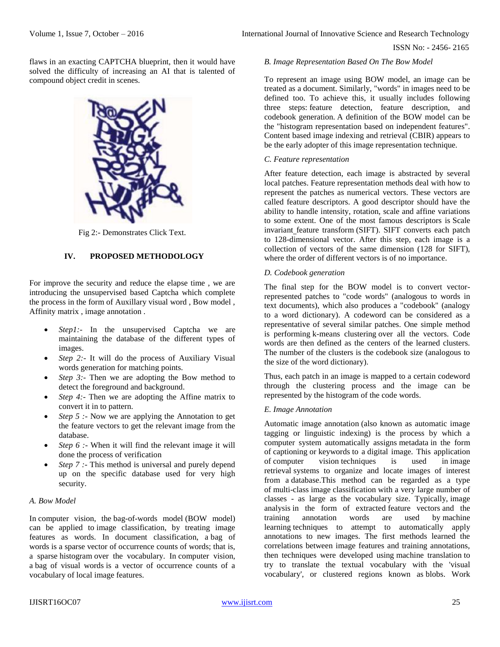flaws in an exacting CAPTCHA blueprint, then it would have solved the difficulty of increasing an AI that is talented of compound object credit in scenes.



Fig 2:- Demonstrates Click Text.

## **IV. PROPOSED METHODOLOGY**

For improve the security and reduce the elapse time , we are introducing the unsupervised based Captcha which complete the process in the form of Auxillary visual word , Bow model , Affinity matrix , image annotation .

- *Step1:* In the unsupervised Captcha we are maintaining the database of the different types of images.
- *Step 2:-* It will do the process of Auxiliary Visual words generation for matching points.
- *Step 3:* Then we are adopting the Bow method to detect the foreground and background.
- *Step 4:* Then we are adopting the Affine matrix to convert it in to pattern.
- *Step 5 :-* Now we are applying the Annotation to get the feature vectors to get the relevant image from the database.
- *Step 6 :* When it will find the relevant image it will done the process of verification
- *Step 7 :-* This method is universal and purely depend up on the specific database used for very high security.

## *A. Bow Model*

In computer vision, the bag-of-words model (BOW model) can be applied to image classification, by treating image features as words. In document classification, a bag of words is a sparse vector of occurrence counts of words; that is, a sparse histogram over the vocabulary. In computer vision, a bag of visual words is a vector of occurrence counts of a vocabulary of local image features.

#### *B. Image Representation Based On The Bow Model*

To represent an image using BOW model, an image can be treated as a document. Similarly, "words" in images need to be defined too. To achieve this, it usually includes following three steps: feature detection, feature description, and codebook generation. A definition of the BOW model can be the "histogram representation based on independent features". Content based image indexing and retrieval (CBIR) appears to be the early adopter of this image representation technique.

#### *C. Feature representation*

After feature detection, each image is abstracted by several local patches. Feature representation methods deal with how to represent the patches as numerical vectors. These vectors are called feature descriptors. A good descriptor should have the ability to handle intensity, rotation, scale and affine variations to some extent. One of the most famous descriptors is Scale invariant feature transform (SIFT). SIFT converts each patch to 128-dimensional vector. After this step, each image is a collection of vectors of the same dimension (128 for SIFT), where the order of different vectors is of no importance.

#### *D. Codebook generation*

The final step for the BOW model is to convert vectorrepresented patches to "code words" (analogous to words in text documents), which also produces a "codebook" (analogy to a word dictionary). A codeword can be considered as a representative of several similar patches. One simple method is performing k-means clustering over all the vectors. Code words are then defined as the centers of the learned clusters. The number of the clusters is the codebook size (analogous to the size of the word dictionary).

Thus, each patch in an image is mapped to a certain codeword through the clustering process and the image can be represented by the histogram of the code words.

#### *E. Image Annotation*

Automatic image annotation (also known as automatic image tagging or linguistic indexing) is the process by which a computer system automatically assigns metadata in the form of captioning or keywords to a digital image. This application of computer vision techniques is used in image retrieval systems to organize and locate images of interest from a database.This method can be regarded as a type of multi-class image classification with a very large number of classes - as large as the vocabulary size. Typically, image analysis in the form of extracted feature vectors and the training annotation words are used by machine learning techniques to attempt to automatically apply annotations to new images. The first methods learned the correlations between image features and training annotations, then techniques were developed using machine translation to try to translate the textual vocabulary with the 'visual vocabulary', or clustered regions known as blobs. Work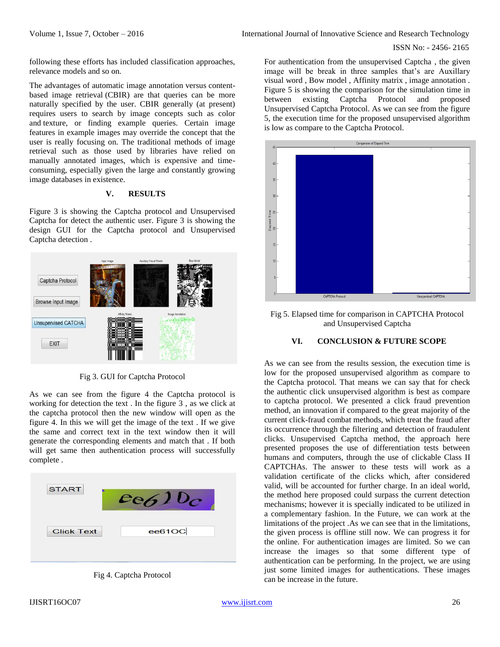following these efforts has included classification approaches, relevance models and so on.

The advantages of automatic image annotation versus contentbased image retrieval (CBIR) are that queries can be more naturally specified by the user. CBIR generally (at present) requires users to search by image concepts such as color and texture, or finding example queries. Certain image features in example images may override the concept that the user is really focusing on. The traditional methods of image retrieval such as those used by libraries have relied on manually annotated images, which is expensive and timeconsuming, especially given the large and constantly growing image databases in existence.

# **V. RESULTS**

Figure 3 is showing the Captcha protocol and Unsupervised Captcha for detect the authentic user. Figure 3 is showing the design GUI for the Captcha protocol and Unsupervised Captcha detection .



Fig 3. GUI for Captcha Protocol

As we can see from the figure 4 the Captcha protocol is working for detection the text . In the figure 3 , as we click at the captcha protocol then the new window will open as the figure 4. In this we will get the image of the text . If we give the same and correct text in the text window then it will generate the corresponding elements and match that . If both will get same then authentication process will successfully complete .





For authentication from the unsupervised Captcha , the given image will be break in three samples that's are Auxillary visual word , Bow model , Affinity matrix , image annotation . Figure 5 is showing the comparison for the simulation time in between existing Captcha Protocol and proposed Unsupervised Captcha Protocol. As we can see from the figure 5, the execution time for the proposed unsupervised algorithm is low as compare to the Captcha Protocol.



Fig 5. Elapsed time for comparison in CAPTCHA Protocol and Unsupervised Captcha

# **VI. CONCLUSION & FUTURE SCOPE**

As we can see from the results session, the execution time is low for the proposed unsupervised algorithm as compare to the Captcha protocol. That means we can say that for check the authentic click unsupervised algorithm is best as compare to captcha protocol. We presented a click fraud prevention method, an innovation if compared to the great majority of the current click-fraud combat methods, which treat the fraud after its occurrence through the filtering and detection of fraudulent clicks. Unsupervised Captcha method, the approach here presented proposes the use of differentiation tests between humans and computers, through the use of clickable Class II CAPTCHAs. The answer to these tests will work as a validation certificate of the clicks which, after considered valid, will be accounted for further charge. In an ideal world, the method here proposed could surpass the current detection mechanisms; however it is specially indicated to be utilized in a complementary fashion. In the Future, we can work at the limitations of the project .As we can see that in the limitations, the given process is offline still now. We can progress it for the online. For authentication images are limited. So we can increase the images so that some different type of authentication can be performing. In the project, we are using just some limited images for authentications. These images can be increase in the future.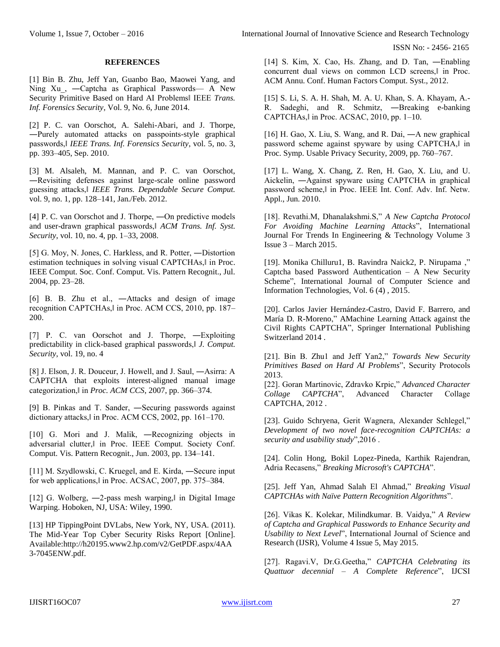#### **REFERENCES**

[1] Bin B. Zhu, Jeff Yan, Guanbo Bao, Maowei Yang, and Ning Xu, —Captcha as Graphical Passwords— A New Security Primitive Based on Hard AI Problems‖ IEEE *Trans. Inf. Forensics Security*, Vol. 9, No. 6, June 2014.

[2] P. C. van Oorschot, A. Salehi-Abari, and J. Thorpe, ―Purely automated attacks on passpoints-style graphical passwords,‖ *IEEE Trans. Inf. Forensics Security*, vol. 5, no. 3, pp. 393–405, Sep. 2010.

[3] M. Alsaleh, M. Mannan, and P. C. van Oorschot, ―Revisiting defenses against large-scale online password guessing attacks,‖ *IEEE Trans. Dependable Secure Comput.*  vol. 9, no. 1, pp. 128–141, Jan./Feb. 2012.

[4] P. C. van Oorschot and J. Thorpe, —On predictive models and user-drawn graphical passwords,‖ *ACM Trans. Inf. Syst. Security*, vol. 10, no. 4, pp. 1–33, 2008.

[5] G. Moy, N. Jones, C. Harkless, and R. Potter, ―Distortion estimation techniques in solving visual CAPTCHAs,‖ in Proc. IEEE Comput. Soc. Conf. Comput. Vis. Pattern Recognit., Jul. 2004, pp. 23–28.

[6] B. B. Zhu et al., ―Attacks and design of image recognition CAPTCHAs,‖ in Proc. ACM CCS, 2010, pp. 187– 200.

[7] P. C. van Oorschot and J. Thorpe, ―Exploiting predictability in click-based graphical passwords,‖ *J. Comput. Security*, vol. 19, no. 4

[8] J. Elson, J. R. Douceur, J. Howell, and J. Saul, ―Asirra: A CAPTCHA that exploits interest-aligned manual image categorization,‖ in *Proc. ACM CCS*, 2007, pp. 366–374.

[9] B. Pinkas and T. Sander, ―Securing passwords against dictionary attacks,‖ in Proc. ACM CCS, 2002, pp. 161–170.

[10] G. Mori and J. Malik, -Recognizing objects in adversarial clutter,‖ in Proc. IEEE Comput. Society Conf. Comput. Vis. Pattern Recognit., Jun. 2003, pp. 134–141.

[11] M. Szydlowski, C. Kruegel, and E. Kirda, -Secure input for web applications, in Proc. ACSAC, 2007, pp. 375–384.

[12] G. Wolberg,  $-2$ -pass mesh warping, in Digital Image Warping. Hoboken, NJ, USA: Wiley, 1990.

[13] HP TippingPoint DVLabs, New York, NY, USA. (2011). The Mid-Year Top Cyber Security Risks Report [Online]. Available:http://h20195.www2.hp.com/v2/GetPDF.aspx/4AA 3-7045ENW.pdf.

[14] S. Kim, X. Cao, Hs. Zhang, and D. Tan, ―Enabling concurrent dual views on common LCD screens,‖ in Proc. ACM Annu. Conf. Human Factors Comput. Syst., 2012.

[15] S. Li, S. A. H. Shah, M. A. U. Khan, S. A. Khayam, A.- R. Sadeghi, and R. Schmitz, ―Breaking e-banking CAPTCHAs,‖ in Proc. ACSAC, 2010, pp. 1–10.

[16] H. Gao, X. Liu, S. Wang, and R. Dai, —A new graphical password scheme against spyware by using CAPTCHA, lin Proc. Symp. Usable Privacy Security, 2009, pp. 760–767.

[17] L. Wang, X. Chang, Z. Ren, H. Gao, X. Liu, and U. Aickelin, ―Against spyware using CAPTCHA in graphical password scheme,‖ in Proc. IEEE Int. Conf. Adv. Inf. Netw. Appl., Jun. 2010.

[18]. Revathi.M, Dhanalakshmi.S," *A New Captcha Protocol For Avoiding Machine Learning Attacks*", International Journal For Trends In Engineering & Technology Volume 3 Issue 3 – March 2015.

[19]. Monika Chilluru1, B. Ravindra Naick2, P. Nirupama ," Captcha based Password Authentication – A New Security Scheme", International Journal of Computer Science and Information Technologies, Vol. 6 (4) , 2015.

[20]. Carlos Javier Hernández-Castro, David F. Barrero, and María D. R-Moreno," AMachine Learning Attack against the Civil Rights CAPTCHA", Springer International Publishing Switzerland 2014 .

[21]. Bin B. Zhu1 and Jeff Yan2," *Towards New Security Primitives Based on Hard AI Problems*", Security Protocols 2013.

[22]. Goran Martinovic, Zdravko Krpic," *Advanced Character Collage CAPTCHA*", Advanced Character Collage CAPTCHA, 2012 .

[23]. Guido Schryena, Gerit Wagnera, Alexander Schlegel," *Development of two novel face-recognition CAPTCHAs: a security and usability study*",2016 .

[24]. Colin Hong, Bokil Lopez-Pineda, Karthik Rajendran, Adria Recasens," *Breaking Microsoft's CAPTCHA*".

[25]. Jeff Yan, Ahmad Salah El Ahmad," *Breaking Visual CAPTCHAs with Naïve Pattern Recognition Algorithms*".

[26]. Vikas K. Kolekar, Milindkumar. B. Vaidya," *A Review of Captcha and Graphical Passwords to Enhance Security and Usability to Next Level*", International Journal of Science and Research (IJSR), Volume 4 Issue 5, May 2015.

[27]. Ragavi.V, Dr.G.Geetha," *CAPTCHA Celebrating its Quattuor decennial – A Complete Reference*", IJCSI